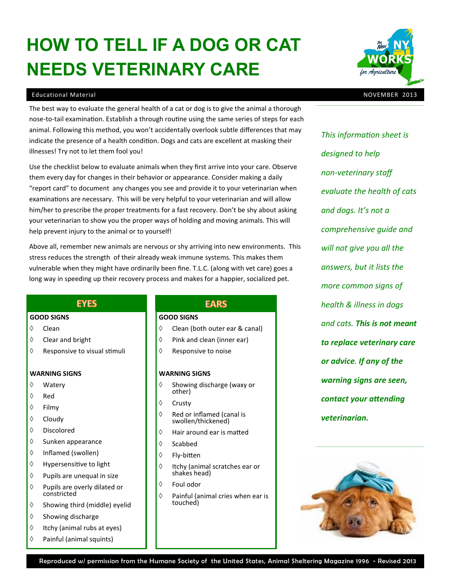# **HOW TO TELL IF A DOG OR CAT NEEDS VETERINARY CARE**

### Educational Material November 2013 and the entry of the entry of the entry of the entry of the entry of the entry of the entry of the entry of the entry of the entry of the entry of the entry of the entry of the entry of t

The best way to evaluate the general health of a cat or dog is to give the animal a thorough nose-to-tail examination. Establish a through routine using the same series of steps for each animal. Following this method, you won't accidentally overlook subtle differences that may indicate the presence of a health condition. Dogs and cats are excellent at masking their illnesses! Try not to let them fool you!

Use the checklist below to evaluate animals when they first arrive into your care. Observe them every day for changes in their behavior or appearance. Consider making a daily "report card" to document any changes you see and provide it to your veterinarian when examinations are necessary. This will be very helpful to your veterinarian and will allow him/her to prescribe the proper treatments for a fast recovery. Don't be shy about asking your veterinarian to show you the proper ways of holding and moving animals. This will help prevent injury to the animal or to yourself!

Above all, remember new animals are nervous or shy arriving into new environments. This stress reduces the strength of their already weak immune systems. This makes them vulnerable when they might have ordinarily been fine. T.L.C. (along with vet care) goes a long way in speeding up their recovery process and makes for a happier, socialized pet.

### **EYES**

### **GOOD SIGNS**

- $\Diamond$  Clean
- $\Diamond$  Clear and bright
- $\Diamond$  Responsive to visual stimuli

#### **WARNING SIGNS**

- Watery
- $\Diamond$  Red
- $\Diamond$  Filmy
- $\Diamond$  Cloudy
- Discolored
- $\Diamond$  Sunken appearance
- $\Diamond$  Inflamed (swollen)
- $\Diamond$  Hypersensitive to light
- $\Diamond$  Pupils are unequal in size
- $\Diamond$  Pupils are overly dilated or constricted
- $\Diamond$  Showing third (middle) eyelid
- $\Diamond$  Showing discharge
- $\Diamond$  Itchy (animal rubs at eyes)
- Painful (animal squints)

### **EARS**

#### **GOOD SIGNS**

- Clean (both outer ear & canal)
- $\Diamond$  Pink and clean (inner ear)
- $\Diamond$  Responsive to noise

#### **WARNING SIGNS**

- $\Diamond$  Showing discharge (waxy or other)
- $\Diamond$  Crustv
- $\Diamond$  Red or inflamed (canal is swollen/thickened)
- Hair around ear is matted
- $\Diamond$  Scabbed
- Fly-bitten
- $\Diamond$  Itchy (animal scratches ear or shakes head)
- Foul odor
- $\Diamond$  Painful (animal cries when ear is touched)

*This information sheet is designed to help non-veterinary staff evaluate the health of cats and dogs. It's not a comprehensive guide and will not give you all the answers, but it lists the more common signs of health & illness in dogs and cats. This is not meant to replace veterinary care or advice. If any of the warning signs are seen, contact your attending veterinarian.*